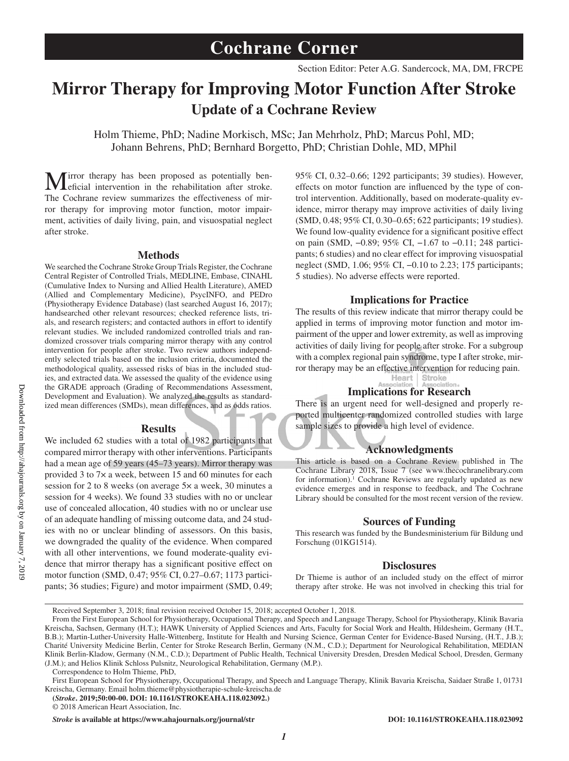# **Mirror Therapy for Improving Motor Function After Stroke Update of a Cochrane Review**

Holm Thieme, PhD; Nadine Morkisch, MSc; Jan Mehrholz, PhD; Marcus Pohl, MD; Johann Behrens, PhD; Bernhard Borgetto, PhD; Christian Dohle, MD, MPhil

Mirror therapy has been proposed as potentially ben-eficial intervention in the rehabilitation after stroke. The Cochrane review summarizes the effectiveness of mirror therapy for improving motor function, motor impairment, activities of daily living, pain, and visuospatial neglect after stroke.

#### **Methods**

We searched the Cochrane Stroke Group Trials Register, the Cochrane Central Register of Controlled Trials, MEDLINE, Embase, CINAHL (Cumulative Index to Nursing and Allied Health Literature), AMED (Allied and Complementary Medicine), PsycINFO, and PEDro (Physiotherapy Evidence Database) (last searched August 16, 2017); handsearched other relevant resources; checked reference lists, trials, and research registers; and contacted authors in effort to identify relevant studies. We included randomized controlled trials and randomized crossover trials comparing mirror therapy with any control intervention for people after stroke. Two review authors independently selected trials based on the inclusion criteria, documented the methodological quality, assessed risks of bias in the included studies, and extracted data. We assessed the quality of the evidence using the GRADE approach (Grading of Recommendations Assessment, Development and Evaluation). We analyzed the results as standardized mean differences (SMDs), mean differences, and as odds ratios.

#### **Results**

We included 62 studies with a total of 1982 participants that compared mirror therapy with other interventions. Participants had a mean age of 59 years (45–73 years). Mirror therapy was provided 3 to 7× a week, between 15 and 60 minutes for each session for 2 to 8 weeks (on average 5× a week, 30 minutes a session for 4 weeks). We found 33 studies with no or unclear use of concealed allocation, 40 studies with no or unclear use of an adequate handling of missing outcome data, and 24 studies with no or unclear blinding of assessors. On this basis, we downgraded the quality of the evidence. When compared with all other interventions, we found moderate-quality evidence that mirror therapy has a significant positive effect on motor function (SMD, 0.47; 95% CI, 0.27–0.67; 1173 participants; 36 studies; Figure) and motor impairment (SMD, 0.49;

95% CI, 0.32–0.66; 1292 participants; 39 studies). However, effects on motor function are influenced by the type of control intervention. Additionally, based on moderate-quality evidence, mirror therapy may improve activities of daily living (SMD, 0.48; 95% CI, 0.30–0.65; 622 participants; 19 studies). We found low-quality evidence for a significant positive effect on pain (SMD, −0.89; 95% CI, −1.67 to −0.11; 248 participants; 6 studies) and no clear effect for improving visuospatial neglect (SMD, 1.06; 95% CI, −0.10 to 2.23; 175 participants; 5 studies). No adverse effects were reported.

# **Implications for Practice**

The results of this review indicate that mirror therapy could be applied in terms of improving motor function and motor impairment of the upper and lower extremity, as well as improving activities of daily living for people after stroke. For a subgroup with a complex regional pain syndrome, type I after stroke, mirror therapy may be an effective intervention for reducing pain.<br>
Heart Stroke<br>
Association

## **Implications for Research**

There is an urgent need for well-designed and properly reported multicenter randomized controlled studies with large sample sizes to provide a high level of evidence.

### **Acknowledgments**

This article is based on a Cochrane Review published in The Cochrane Library 2018, Issue 7 (see www.thecochranelibrary.com for information).<sup>1</sup> Cochrane Reviews are regularly updated as new evidence emerges and in response to feedback, and The Cochrane Library should be consulted for the most recent version of the review.

## **Sources of Funding**

This research was funded by the Bundesministerium für Bildung und Forschung (01KG1514).

#### **Disclosures**

Dr Thieme is author of an included study on the effect of mirror therapy after stroke. He was not involved in checking this trial for

Received September 3, 2018; final revision received October 15, 2018; accepted October 1, 2018.

**(***Stroke***. 2019;50:00-00. DOI: 10.1161/STROKEAHA.118.023092.)**

*Stroke* **is available at https://www.ahajournals.org/journal/str DOI: 10.1161/STROKEAHA.118.023092**

From the First European School for Physiotherapy, Occupational Therapy, and Speech and Language Therapy, School for Physiotherapy, Klinik Bavaria Kreischa, Sachsen, Germany (H.T.); HAWK University of Applied Sciences and Arts, Faculty for Social Work and Health, Hildesheim, Germany (H.T., B.B.); Martin-Luther-University Halle-Wittenberg, Institute for Health and Nursing Science, German Center for Evidence-Based Nursing, (H.T., J.B.); Charité University Medicine Berlin, Center for Stroke Research Berlin, Germany (N.M., C.D.); Department for Neurological Rehabilitation, MEDIAN Klinik Berlin-Kladow, Germany (N.M., C.D.); Department of Public Health, Technical University Dresden, Dresden Medical School, Dresden, Germany (J.M.); and Helios Klinik Schloss Pulsnitz, Neurological Rehabilitation, Germany (M.P.).

Correspondence to Holm Thieme, PhD,

First European School for Physiotherapy, Occupational Therapy, and Speech and Language Therapy, Klinik Bavaria Kreischa, Saidaer Straße 1, 01731 Kreischa, Germany. Email [holm.thieme@physiotherapie-schule-kreischa.de](mailto:holm.thieme@physiotherapie-schule-kreischa.de)

<sup>© 2018</sup> American Heart Association, Inc.